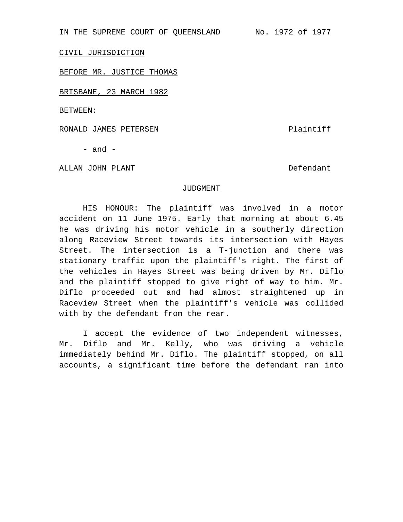IN THE SUPREME COURT OF QUEENSLAND No. 1972 of 1977

CIVIL JURISDICTION

BEFORE MR. JUSTICE THOMAS

BRISBANE, 23 MARCH 1982

BETWEEN:

RONALD JAMES PETERSEN **EXECUTE IS A ROOM OF A SET ALL AND RESIDENT** Plaintiff

 $-$  and  $-$ 

ALLAN JOHN PLANT Defendant

## JUDGMENT

HIS HONOUR: The plaintiff was involved in a motor accident on 11 June 1975. Early that morning at about 6.45 he was driving his motor vehicle in a southerly direction along Raceview Street towards its intersection with Hayes Street. The intersection is a T-junction and there was stationary traffic upon the plaintiff's right. The first of the vehicles in Hayes Street was being driven by Mr. Diflo and the plaintiff stopped to give right of way to him. Mr. Diflo proceeded out and had almost straightened up in Raceview Street when the plaintiff's vehicle was collided with by the defendant from the rear.

I accept the evidence of two independent witnesses, Mr. Diflo and Mr. Kelly, who was driving a vehicle immediately behind Mr. Diflo. The plaintiff stopped, on all accounts, a significant time before the defendant ran into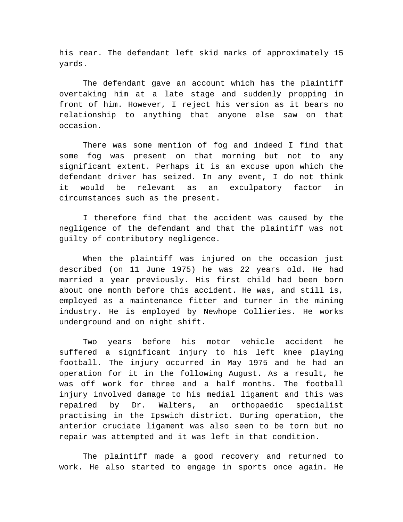his rear. The defendant left skid marks of approximately 15 yards.

The defendant gave an account which has the plaintiff overtaking him at a late stage and suddenly propping in front of him. However, I reject his version as it bears no relationship to anything that anyone else saw on that occasion.

There was some mention of fog and indeed I find that some fog was present on that morning but not to any significant extent. Perhaps it is an excuse upon which the defendant driver has seized. In any event, I do not think it would be relevant as an exculpatory factor in circumstances such as the present.

I therefore find that the accident was caused by the negligence of the defendant and that the plaintiff was not guilty of contributory negligence.

When the plaintiff was injured on the occasion just described (on 11 June 1975) he was 22 years old. He had married a year previously. His first child had been born about one month before this accident. He was, and still is, employed as a maintenance fitter and turner in the mining industry. He is employed by Newhope Collieries. He works underground and on night shift.

Two years before his motor vehicle accident he suffered a significant injury to his left knee playing football. The injury occurred in May 1975 and he had an operation for it in the following August. As a result, he was off work for three and a half months. The football injury involved damage to his medial ligament and this was repaired by Dr. Walters, an orthopaedic specialist practising in the Ipswich district. During operation, the anterior cruciate ligament was also seen to be torn but no repair was attempted and it was left in that condition.

The plaintiff made a good recovery and returned to work. He also started to engage in sports once again. He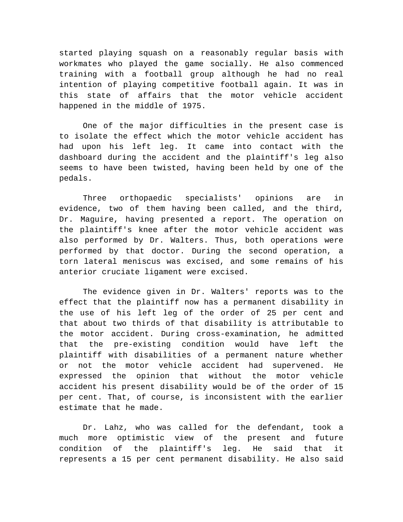started playing squash on a reasonably regular basis with workmates who played the game socially. He also commenced training with a football group although he had no real intention of playing competitive football again. It was in this state of affairs that the motor vehicle accident happened in the middle of 1975.

One of the major difficulties in the present case is to isolate the effect which the motor vehicle accident has had upon his left leg. It came into contact with the dashboard during the accident and the plaintiff's leg also seems to have been twisted, having been held by one of the pedals.

Three orthopaedic specialists' opinions are in evidence, two of them having been called, and the third, Dr. Maguire, having presented a report. The operation on the plaintiff's knee after the motor vehicle accident was also performed by Dr. Walters. Thus, both operations were performed by that doctor. During the second operation, a torn lateral meniscus was excised, and some remains of his anterior cruciate ligament were excised.

The evidence given in Dr. Walters' reports was to the effect that the plaintiff now has a permanent disability in the use of his left leg of the order of 25 per cent and that about two thirds of that disability is attributable to the motor accident. During cross-examination, he admitted that the pre-existing condition would have left the plaintiff with disabilities of a permanent nature whether or not the motor vehicle accident had supervened. He expressed the opinion that without the motor vehicle accident his present disability would be of the order of 15 per cent. That, of course, is inconsistent with the earlier estimate that he made.

Dr. Lahz, who was called for the defendant, took a much more optimistic view of the present and future condition of the plaintiff's leg. He said that it represents a 15 per cent permanent disability. He also said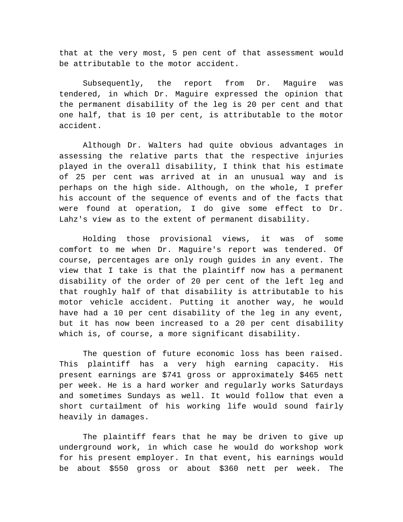that at the very most, 5 pen cent of that assessment would be attributable to the motor accident.

Subsequently, the report from Dr. Maguire was tendered, in which Dr. Maguire expressed the opinion that the permanent disability of the leg is 20 per cent and that one half, that is 10 per cent, is attributable to the motor accident.

Although Dr. Walters had quite obvious advantages in assessing the relative parts that the respective injuries played in the overall disability, I think that his estimate of 25 per cent was arrived at in an unusual way and is perhaps on the high side. Although, on the whole, I prefer his account of the sequence of events and of the facts that were found at operation, I do give some effect to Dr. Lahz's view as to the extent of permanent disability.

Holding those provisional views, it was of some comfort to me when Dr. Maguire's report was tendered. Of course, percentages are only rough guides in any event. The view that I take is that the plaintiff now has a permanent disability of the order of 20 per cent of the left leg and that roughly half of that disability is attributable to his motor vehicle accident. Putting it another way, he would have had a 10 per cent disability of the leg in any event, but it has now been increased to a 20 per cent disability which is, of course, a more significant disability.

The question of future economic loss has been raised. This plaintiff has a very high earning capacity. His present earnings are \$741 gross or approximately \$465 nett per week. He is a hard worker and regularly works Saturdays and sometimes Sundays as well. It would follow that even a short curtailment of his working life would sound fairly heavily in damages.

The plaintiff fears that he may be driven to give up underground work, in which case he would do workshop work for his present employer. In that event, his earnings would be about \$550 gross or about \$360 nett per week. The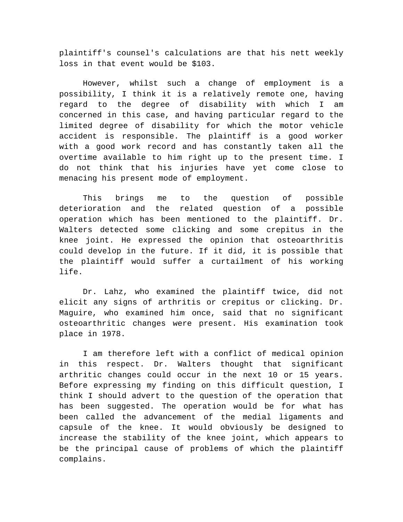plaintiff's counsel's calculations are that his nett weekly loss in that event would be \$103.

However, whilst such a change of employment is a possibility, I think it is a relatively remote one, having regard to the degree of disability with which I am concerned in this case, and having particular regard to the limited degree of disability for which the motor vehicle accident is responsible. The plaintiff is a good worker with a good work record and has constantly taken all the overtime available to him right up to the present time. I do not think that his injuries have yet come close to menacing his present mode of employment.

This brings me to the question of possible deterioration and the related question of a possible operation which has been mentioned to the plaintiff. Dr. Walters detected some clicking and some crepitus in the knee joint. He expressed the opinion that osteoarthritis could develop in the future. If it did, it is possible that the plaintiff would suffer a curtailment of his working life.

Dr. Lahz, who examined the plaintiff twice, did not elicit any signs of arthritis or crepitus or clicking. Dr. Maguire, who examined him once, said that no significant osteoarthritic changes were present. His examination took place in 1978.

I am therefore left with a conflict of medical opinion in this respect. Dr. Walters thought that significant arthritic changes could occur in the next 10 or 15 years. Before expressing my finding on this difficult question, I think I should advert to the question of the operation that has been suggested. The operation would be for what has been called the advancement of the medial ligaments and capsule of the knee. It would obviously be designed to increase the stability of the knee joint, which appears to be the principal cause of problems of which the plaintiff complains.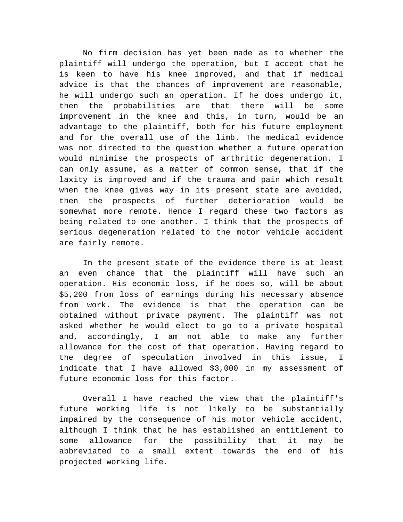No firm decision has yet been made as to whether the plaintiff will undergo the operation, but I accept that he is keen to have his knee improved, and that if medical advice is that the chances of improvement are reasonable, he will undergo such an operation. If he does undergo it, then the probabilities are that there will be some improvement in the knee and this, in turn, would be an advantage to the plaintiff, both for his future employment and for the overall use of the limb. The medical evidence was not directed to the question whether a future operation would minimise the prospects of arthritic degeneration. I can only assume, as a matter of common sense, that if the laxity is improved and if the trauma and pain which result when the knee gives way in its present state are avoided, then the prospects of further deterioration would be somewhat more remote. Hence I regard these two factors as being related to one another. I think that the prospects of serious degeneration related to the motor vehicle accident are fairly remote.

In the present state of the evidence there is at least an even chance that the plaintiff will have such an operation. His economic loss, if he does so, will be about \$5,200 from loss of earnings during his necessary absence from work. The evidence is that the operation can be obtained without private payment. The plaintiff was not asked whether he would elect to go to a private hospital and, accordingly, I am not able to make any further allowance for the cost of that operation. Having regard to the degree of speculation involved in this issue, I indicate that I have allowed \$3,000 in my assessment of future economic loss for this factor.

Overall I have reached the view that the plaintiff's future working life is not likely to be substantially impaired by the consequence of his motor vehicle accident, although I think that he has established an entitlement to some allowance for the possibility that it may be abbreviated to a small extent towards the end of his projected working life.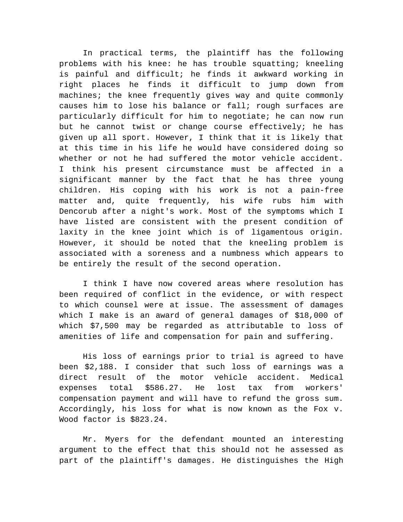In practical terms, the plaintiff has the following problems with his knee: he has trouble squatting; kneeling is painful and difficult; he finds it awkward working in right places he finds it difficult to jump down from machines; the knee frequently gives way and quite commonly causes him to lose his balance or fall; rough surfaces are particularly difficult for him to negotiate; he can now run but he cannot twist or change course effectively; he has given up all sport. However, I think that it is likely that at this time in his life he would have considered doing so whether or not he had suffered the motor vehicle accident. I think his present circumstance must be affected in a significant manner by the fact that he has three young children. His coping with his work is not a pain-free matter and, quite frequently, his wife rubs him with Dencorub after a night's work. Most of the symptoms which I have listed are consistent with the present condition of laxity in the knee joint which is of ligamentous origin. However, it should be noted that the kneeling problem is associated with a soreness and a numbness which appears to be entirely the result of the second operation.

I think I have now covered areas where resolution has been required of conflict in the evidence, or with respect to which counsel were at issue. The assessment of damages which I make is an award of general damages of \$18,000 of which \$7,500 may be regarded as attributable to loss of amenities of life and compensation for pain and suffering.

His loss of earnings prior to trial is agreed to have been \$2,188. I consider that such loss of earnings was a direct result of the motor vehicle accident. Medical expenses total \$586.27. He lost tax from workers' compensation payment and will have to refund the gross sum. Accordingly, his loss for what is now known as the Fox v. Wood factor is \$823.24.

Mr. Myers for the defendant mounted an interesting argument to the effect that this should not he assessed as part of the plaintiff's damages. He distinguishes the High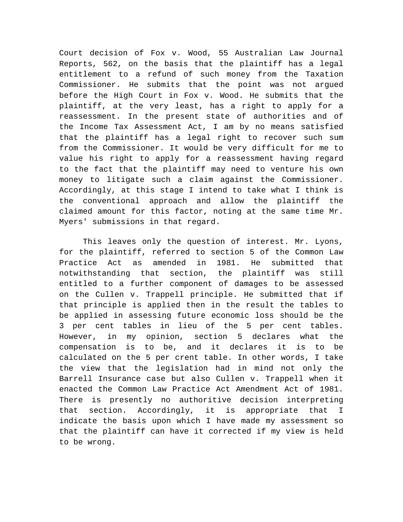Court decision of Fox v. Wood, 55 Australian Law Journal Reports, 562, on the basis that the plaintiff has a legal entitlement to a refund of such money from the Taxation Commissioner. He submits that the point was not argued before the High Court in Fox v. Wood. He submits that the plaintiff, at the very least, has a right to apply for a reassessment. In the present state of authorities and of the Income Tax Assessment Act, I am by no means satisfied that the plaintiff has a legal right to recover such sum from the Commissioner. It would be very difficult for me to value his right to apply for a reassessment having regard to the fact that the plaintiff may need to venture his own money to litigate such a claim against the Commissioner. Accordingly, at this stage I intend to take what I think is the conventional approach and allow the plaintiff the claimed amount for this factor, noting at the same time Mr. Myers' submissions in that regard.

This leaves only the question of interest. Mr. Lyons, for the plaintiff, referred to section 5 of the Common Law Practice Act as amended in 1981. He submitted that notwithstanding that section, the plaintiff was still entitled to a further component of damages to be assessed on the Cullen v. Trappell principle. He submitted that if that principle is applied then in the result the tables to be applied in assessing future economic loss should be the 3 per cent tables in lieu of the 5 per cent tables. However, in my opinion, section 5 declares what the compensation is to be, and it declares it is to be calculated on the 5 per crent table. In other words, I take the view that the legislation had in mind not only the Barrell Insurance case but also Cullen v. Trappell when it enacted the Common Law Practice Act Amendment Act of 1981. There is presently no authoritive decision interpreting that section. Accordingly, it is appropriate that I indicate the basis upon which I have made my assessment so that the plaintiff can have it corrected if my view is held to be wrong.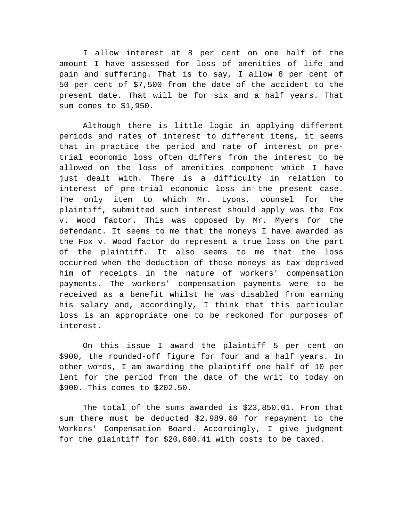I allow interest at 8 per cent on one half of the amount I have assessed for loss of amenities of life and pain and suffering. That is to say, I allow 8 per cent of 50 per cent of \$7,500 from the date of the accident to the present date. That will be for six and a half years. That sum comes to \$1,950.

Although there is little logic in applying different periods and rates of interest to different items, it seems that in practice the period and rate of interest on pretrial economic loss often differs from the interest to be allowed on the loss of amenities component which I have just dealt with. There is a difficulty in relation to interest of pre-trial economic loss in the present case. The only item to which Mr. Lyons, counsel for the plaintiff, submitted such interest should apply was the Fox v. Wood factor. This was opposed by Mr. Myers for the defendant. It seems to me that the moneys I have awarded as the Fox v. Wood factor do represent a true loss on the part of the plaintiff. It also seems to me that the loss occurred when the deduction of those moneys as tax deprived him of receipts in the nature of workers' compensation payments. The workers' compensation payments were to be received as a benefit whilst he was disabled from earning his salary and, accordingly, I think that this particular loss is an appropriate one to be reckoned for purposes of interest.

On this issue I award the plaintiff 5 per cent on \$900, the rounded-off figure for four and a half years. In other words, I am awarding the plaintiff one half of 10 per lent for the period from the date of the writ to today on \$900. This comes to \$202.50.

The total of the sums awarded is \$23,850.01. From that sum there must be deducted \$2,989.60 for repayment to the Workers' Compensation Board. Accordingly, I give judgment for the plaintiff for \$20,860.41 with costs to be taxed.